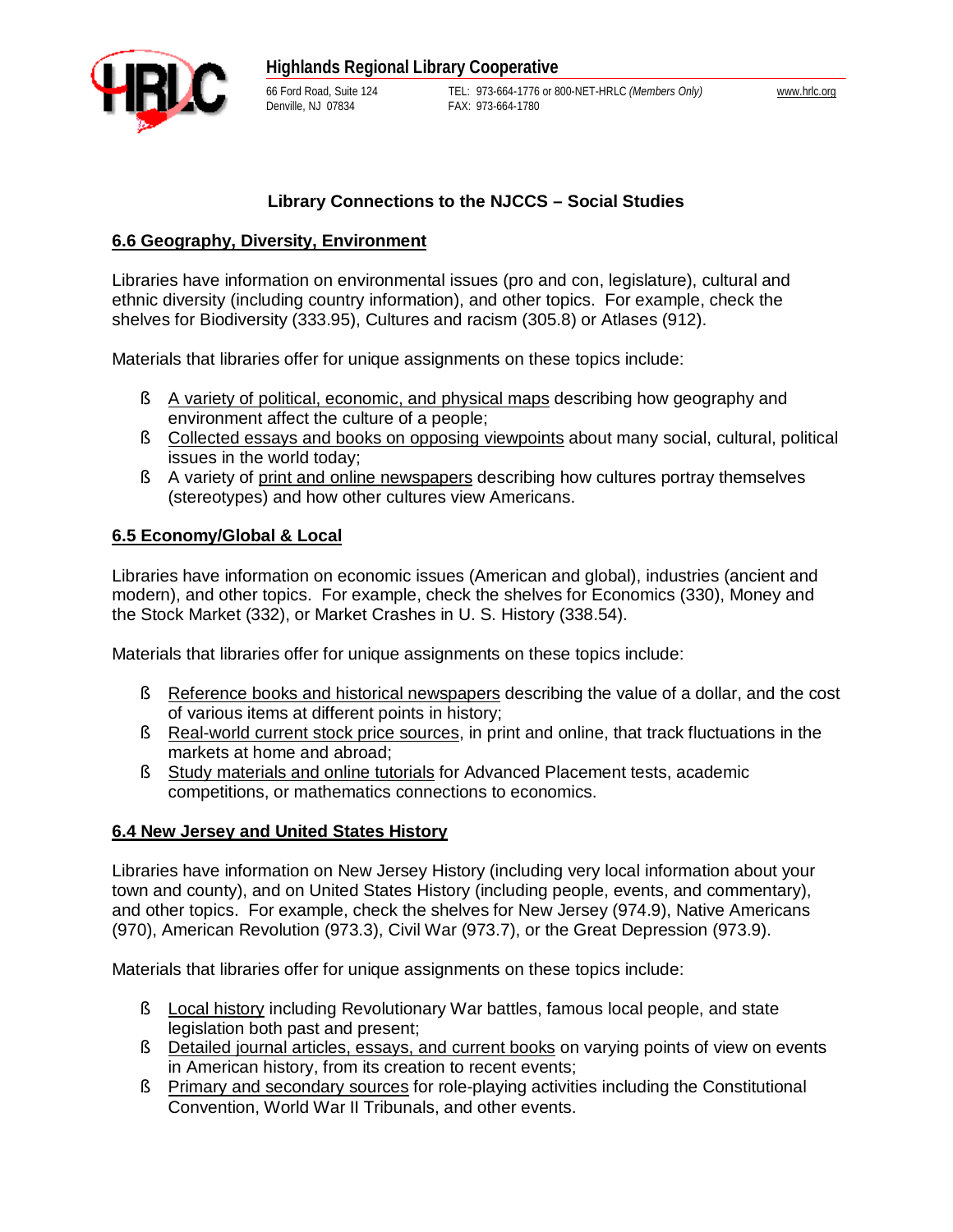

### **Library Connections to the NJCCS – Social Studies**

### **6.6 Geography, Diversity, Environment**

Libraries have information on environmental issues (pro and con, legislature), cultural and ethnic diversity (including country information), and other topics. For example, check the shelves for Biodiversity (333.95), Cultures and racism (305.8) or Atlases (912).

Materials that libraries offer for unique assignments on these topics include:

- § A variety of political, economic, and physical maps describing how geography and environment affect the culture of a people;
- § Collected essays and books on opposing viewpoints about many social, cultural, political issues in the world today;
- § A variety of print and online newspapers describing how cultures portray themselves (stereotypes) and how other cultures view Americans.

### **6.5 Economy/Global & Local**

Libraries have information on economic issues (American and global), industries (ancient and modern), and other topics. For example, check the shelves for Economics (330), Money and the Stock Market (332), or Market Crashes in U. S. History (338.54).

Materials that libraries offer for unique assignments on these topics include:

- § Reference books and historical newspapers describing the value of a dollar, and the cost of various items at different points in history;
- § Real-world current stock price sources, in print and online, that track fluctuations in the markets at home and abroad;
- § Study materials and online tutorials for Advanced Placement tests, academic competitions, or mathematics connections to economics.

#### **6.4 New Jersey and United States History**

Libraries have information on New Jersey History (including very local information about your town and county), and on United States History (including people, events, and commentary), and other topics. For example, check the shelves for New Jersey (974.9), Native Americans (970), American Revolution (973.3), Civil War (973.7), or the Great Depression (973.9).

Materials that libraries offer for unique assignments on these topics include:

- § Local history including Revolutionary War battles, famous local people, and state legislation both past and present;
- § Detailed journal articles, essays, and current books on varying points of view on events in American history, from its creation to recent events;
- § Primary and secondary sources for role-playing activities including the Constitutional Convention, World War II Tribunals, and other events.